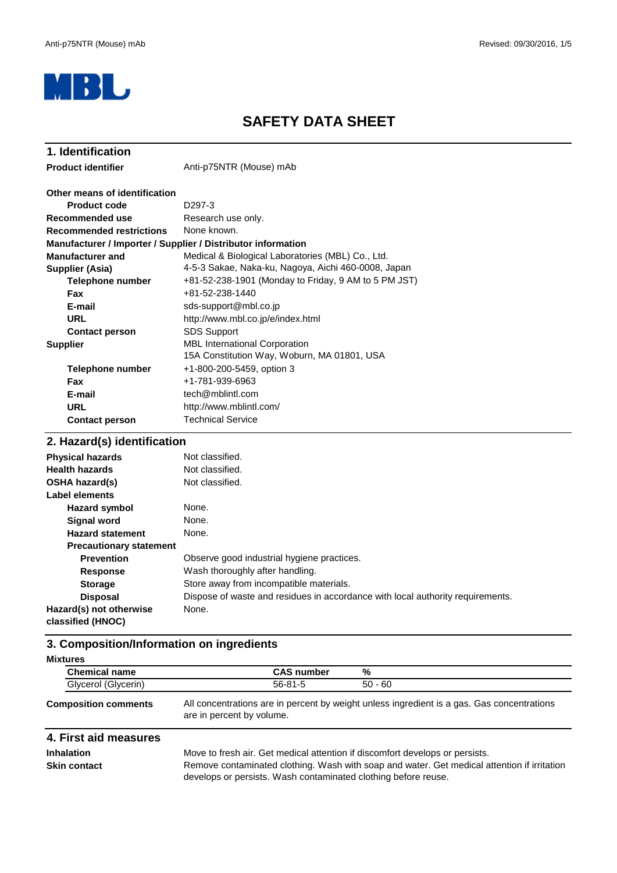

# **SAFETY DATA SHEET**

| 1. Identification                                            |                                                                                     |  |  |
|--------------------------------------------------------------|-------------------------------------------------------------------------------------|--|--|
| <b>Product identifier</b>                                    | Anti-p75NTR (Mouse) mAb                                                             |  |  |
| Other means of identification                                |                                                                                     |  |  |
| Product code                                                 | D <sub>297</sub> -3                                                                 |  |  |
| Recommended use                                              | Research use only.                                                                  |  |  |
| <b>Recommended restrictions</b>                              | None known.                                                                         |  |  |
| Manufacturer / Importer / Supplier / Distributor information |                                                                                     |  |  |
| <b>Manufacturer and</b>                                      | Medical & Biological Laboratories (MBL) Co., Ltd.                                   |  |  |
| <b>Supplier (Asia)</b>                                       | 4-5-3 Sakae, Naka-ku, Nagoya, Aichi 460-0008, Japan                                 |  |  |
| Telephone number                                             | +81-52-238-1901 (Monday to Friday, 9 AM to 5 PM JST)                                |  |  |
| <b>Fax</b>                                                   | $+81 - 52 - 238 - 1440$                                                             |  |  |
| E-mail                                                       | sds-support@mbl.co.jp                                                               |  |  |
| URL<br>http://www.mbl.co.jp/e/index.html                     |                                                                                     |  |  |
| <b>Contact person</b>                                        | <b>SDS Support</b>                                                                  |  |  |
| <b>Supplier</b>                                              | <b>MBL International Corporation</b><br>15A Constitution Way, Woburn, MA 01801, USA |  |  |
| <b>Telephone number</b>                                      | +1-800-200-5459, option 3                                                           |  |  |
| Fax                                                          | +1-781-939-6963                                                                     |  |  |
| E-mail                                                       | tech@mblintl.com                                                                    |  |  |
| <b>URL</b>                                                   | http://www.mblintl.com/                                                             |  |  |
| <b>Contact person</b>                                        | <b>Technical Service</b>                                                            |  |  |
| 2. Hazard(s) identification                                  |                                                                                     |  |  |

#### **Hazard symbol Signal word Hazard statement Precautionary statement Prevention Response Storage Disposal** Wash thoroughly after handling. Store away from incompatible materials. **Label elements Physical hazards** Not classified. None. Observe good industrial hygiene practices. Dispose of waste and residues in accordance with local authority requirements. None. None. Not classified. None. **Health hazards** Not classified. **OSHA hazard(s) Hazard(s) not otherwise classified (HNOC)**

# **3. Composition/Information on ingredients**

| <b>Mixtures</b> |                             |                   |                                                                                            |
|-----------------|-----------------------------|-------------------|--------------------------------------------------------------------------------------------|
|                 | <b>Chemical name</b>        | <b>CAS number</b> | %                                                                                          |
|                 | Glycerol (Glycerin)         | $56 - 81 - 5$     | $50 - 60$                                                                                  |
|                 | <b>Composition comments</b> |                   | All concentrations are in percent by weight unless ingredient is a gas. Gas concentrations |

#### All concentrations are in percent by weight unless ingredient is a gas. Gas concentrations are in percent by volume.

# **4. First aid measures**

**Inhalation** Move to fresh air. Get medical attention if discomfort develops or persists. **Skin contact** Remove contaminated clothing. Wash with soap and water. Get medical attention if irritation develops or persists. Wash contaminated clothing before reuse.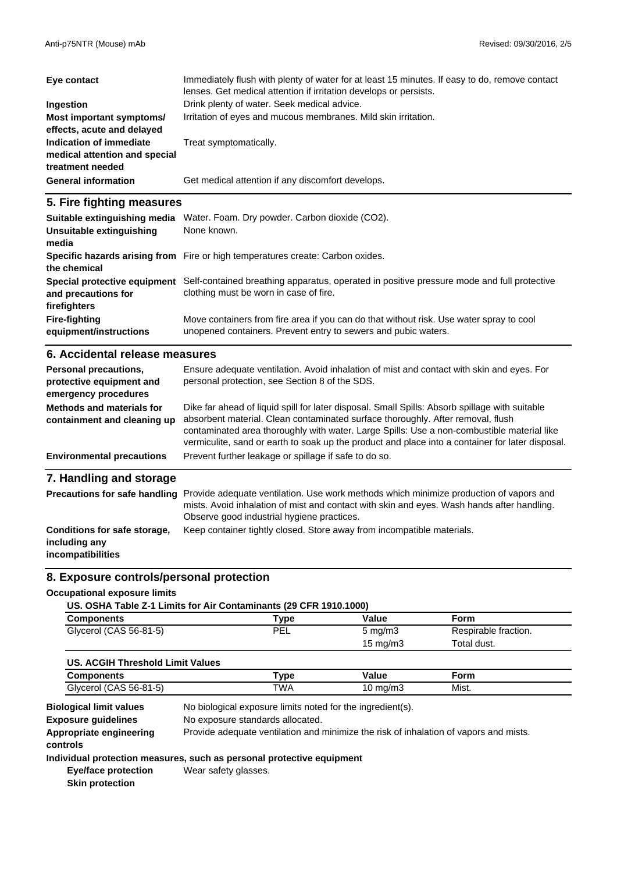| Eye contact                                                                  | Immediately flush with plenty of water for at least 15 minutes. If easy to do, remove contact<br>lenses. Get medical attention if irritation develops or persists. |
|------------------------------------------------------------------------------|--------------------------------------------------------------------------------------------------------------------------------------------------------------------|
| Ingestion                                                                    | Drink plenty of water. Seek medical advice.                                                                                                                        |
| Most important symptoms/<br>effects, acute and delayed                       | Irritation of eyes and mucous membranes. Mild skin irritation.                                                                                                     |
| Indication of immediate<br>medical attention and special<br>treatment needed | Treat symptomatically.                                                                                                                                             |
| <b>General information</b>                                                   | Get medical attention if any discomfort develops.                                                                                                                  |

# **5. Fire fighting measures**

| Suitable extinguishing media<br>Unsuitable extinguishing<br>media | Water. Foam. Dry powder. Carbon dioxide (CO2).<br>None known.                                                                                             |
|-------------------------------------------------------------------|-----------------------------------------------------------------------------------------------------------------------------------------------------------|
| the chemical                                                      | Specific hazards arising from Fire or high temperatures create: Carbon oxides.                                                                            |
| Special protective equipment<br>and precautions for               | Self-contained breathing apparatus, operated in positive pressure mode and full protective<br>clothing must be worn in case of fire.                      |
| firefighters                                                      |                                                                                                                                                           |
| <b>Fire-fighting</b><br>equipment/instructions                    | Move containers from fire area if you can do that without risk. Use water spray to cool<br>unopened containers. Prevent entry to sewers and pubic waters. |

#### **6. Accidental release measures**

| Personal precautions,<br>protective equipment and<br>emergency procedures | Ensure adequate ventilation. Avoid inhalation of mist and contact with skin and eyes. For<br>personal protection, see Section 8 of the SDS.                                                                                                                                                                                                                                         |
|---------------------------------------------------------------------------|-------------------------------------------------------------------------------------------------------------------------------------------------------------------------------------------------------------------------------------------------------------------------------------------------------------------------------------------------------------------------------------|
| Methods and materials for<br>containment and cleaning up                  | Dike far ahead of liquid spill for later disposal. Small Spills: Absorb spillage with suitable<br>absorbent material. Clean contaminated surface thoroughly. After removal, flush<br>contaminated area thoroughly with water. Large Spills: Use a non-combustible material like<br>vermiculite, sand or earth to soak up the product and place into a container for later disposal. |
| <b>Environmental precautions</b>                                          | Prevent further leakage or spillage if safe to do so.                                                                                                                                                                                                                                                                                                                               |
| 7. Handling and storage                                                   |                                                                                                                                                                                                                                                                                                                                                                                     |
| <b>Precautions for safe handling</b>                                      | Provide adequate ventilation. Use work methods which minimize production of vapors and<br>mists. Avoid inhalation of mist and contact with skin and eyes. Wash hands after handling.<br>Observe good industrial hygiene practices.                                                                                                                                                  |

| Conditions for safe storage, | Keep container tightly closed. Store away from incompatible materials. |
|------------------------------|------------------------------------------------------------------------|
| including any                |                                                                        |

#### **incompatibilities**

# **8. Exposure controls/personal protection**

#### **Occupational exposure limits**

| US. OSHA Table Z-1 Limits for Air Contaminants (29 CFR 1910.1000) |  |
|-------------------------------------------------------------------|--|
| $\sim$ $\sim$ $\sim$ $\sim$                                       |  |

| Components             | ™vpe | Value              | Form                 |  |
|------------------------|------|--------------------|----------------------|--|
| Glycerol (CAS 56-81-5) | PEL  | $5 \text{ ma/m}$ 3 | Respirable fraction. |  |
|                        |      | $15 \text{ mg/m}$  | Total dust.          |  |

| US. ACGIH Threshold Limit Values |            |          |       |  |
|----------------------------------|------------|----------|-------|--|
| Components                       | Type       | Value    | Form  |  |
| Glycerol (CAS 56-81-5)           | <b>TWA</b> | 10 ma/m3 | Mist. |  |

**Exposure guidelines** No biological exposure limits noted for the ingredient(s). **Biological limit values** No exposure standards allocated. **Appropriate engineering** Provide adequate ventilation and minimize the risk of inhalation of vapors and mists. **controls**

### **Individual protection measures, such as personal protective equipment**

**Eye/face protection Skin protection** Wear safety glasses.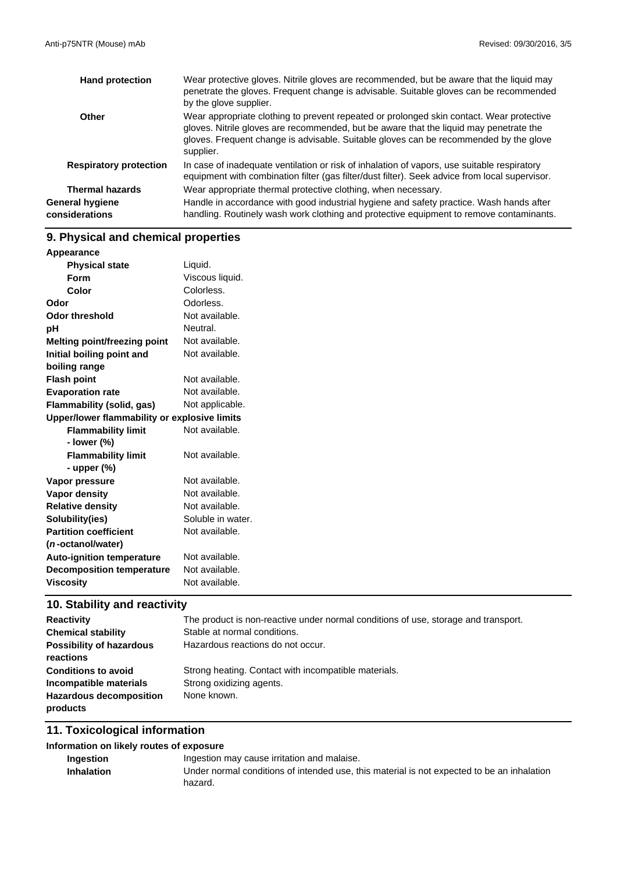| <b>Hand protection</b>            | Wear protective gloves. Nitrile gloves are recommended, but be aware that the liquid may<br>penetrate the gloves. Frequent change is advisable. Suitable gloves can be recommended<br>by the glove supplier.                                                                             |
|-----------------------------------|------------------------------------------------------------------------------------------------------------------------------------------------------------------------------------------------------------------------------------------------------------------------------------------|
| Other                             | Wear appropriate clothing to prevent repeated or prolonged skin contact. Wear protective<br>gloves. Nitrile gloves are recommended, but be aware that the liquid may penetrate the<br>gloves. Frequent change is advisable. Suitable gloves can be recommended by the glove<br>supplier. |
| <b>Respiratory protection</b>     | In case of inadequate ventilation or risk of inhalation of vapors, use suitable respiratory<br>equipment with combination filter (gas filter/dust filter). Seek advice from local supervisor.                                                                                            |
| <b>Thermal hazards</b>            | Wear appropriate thermal protective clothing, when necessary.                                                                                                                                                                                                                            |
| General hygiene<br>considerations | Handle in accordance with good industrial hygiene and safety practice. Wash hands after<br>handling. Routinely wash work clothing and protective equipment to remove contaminants.                                                                                                       |

# **9. Physical and chemical properties**

| Appearance                                   |                   |
|----------------------------------------------|-------------------|
| <b>Physical state</b>                        | Liquid.           |
| Form                                         | Viscous liquid.   |
| Color                                        | Colorless.        |
| Odor                                         | Odorless.         |
| <b>Odor threshold</b>                        | Not available.    |
| pH                                           | Neutral.          |
| <b>Melting point/freezing point</b>          | Not available.    |
| Initial boiling point and                    | Not available.    |
| boiling range                                |                   |
| <b>Flash point</b>                           | Not available.    |
| <b>Evaporation rate</b>                      | Not available.    |
| <b>Flammability (solid, gas)</b>             | Not applicable.   |
| Upper/lower flammability or explosive limits |                   |
| <b>Flammability limit</b>                    | Not available.    |
| - lower (%)                                  |                   |
| <b>Flammability limit</b>                    | Not available.    |
| - upper $(\%)$                               |                   |
| Vapor pressure                               | Not available.    |
| Vapor density                                | Not available.    |
| <b>Relative density</b>                      | Not available.    |
| Solubility(ies)                              | Soluble in water. |
| <b>Partition coefficient</b>                 | Not available.    |
| (n-octanol/water)                            |                   |
| <b>Auto-ignition temperature</b>             | Not available.    |
| <b>Decomposition temperature</b>             | Not available.    |
| <b>Viscosity</b>                             | Not available.    |

# **10. Stability and reactivity**

| <b>Reactivity</b>               | The product is non-reactive under normal conditions of use, storage and transport. |
|---------------------------------|------------------------------------------------------------------------------------|
| <b>Chemical stability</b>       | Stable at normal conditions.                                                       |
| <b>Possibility of hazardous</b> | Hazardous reactions do not occur.                                                  |
| reactions                       |                                                                                    |
| <b>Conditions to avoid</b>      | Strong heating. Contact with incompatible materials.                               |
| Incompatible materials          | Strong oxidizing agents.                                                           |
| <b>Hazardous decomposition</b>  | None known.                                                                        |
| products                        |                                                                                    |

# **11. Toxicological information**

## **Information on likely routes of exposure**

| Ingestion         | Ingestion may cause irritation and malaise.                                                |
|-------------------|--------------------------------------------------------------------------------------------|
| <b>Inhalation</b> | Under normal conditions of intended use, this material is not expected to be an inhalation |
|                   | hazard.                                                                                    |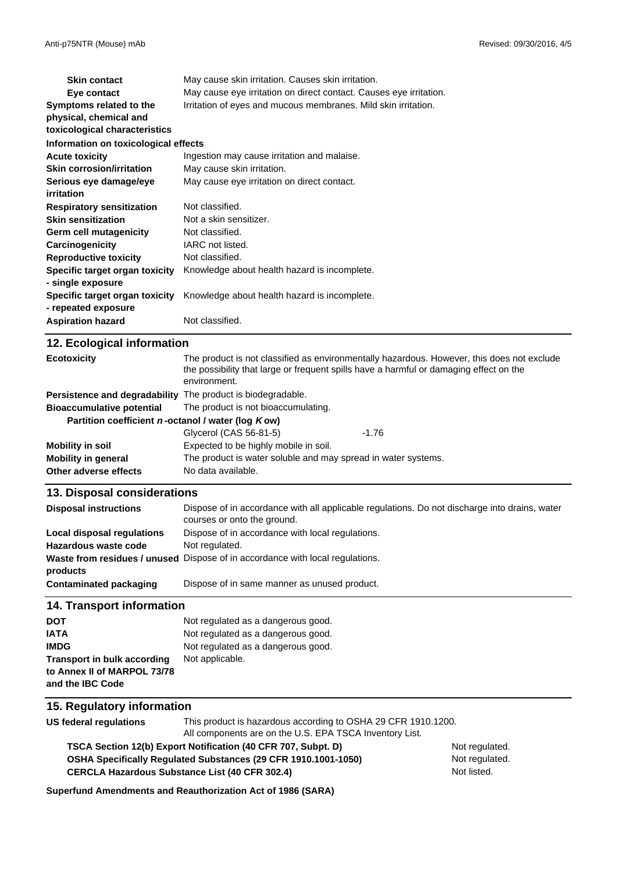| <b>Skin contact</b>                                   | May cause skin irritation. Causes skin irritation.                 |  |
|-------------------------------------------------------|--------------------------------------------------------------------|--|
| Eye contact                                           | May cause eye irritation on direct contact. Causes eye irritation. |  |
| Symptoms related to the                               | Irritation of eyes and mucous membranes. Mild skin irritation.     |  |
| physical, chemical and                                |                                                                    |  |
| toxicological characteristics                         |                                                                    |  |
| Information on toxicological effects                  |                                                                    |  |
| <b>Acute toxicity</b>                                 | Ingestion may cause irritation and malaise.                        |  |
| <b>Skin corrosion/irritation</b>                      | May cause skin irritation.                                         |  |
| Serious eye damage/eye                                | May cause eye irritation on direct contact.                        |  |
| irritation                                            |                                                                    |  |
| <b>Respiratory sensitization</b>                      | Not classified.                                                    |  |
| <b>Skin sensitization</b>                             | Not a skin sensitizer.                                             |  |
| Germ cell mutagenicity                                | Not classified.                                                    |  |
| Carcinogenicity                                       | IARC not listed.                                                   |  |
| <b>Reproductive toxicity</b>                          | Not classified.                                                    |  |
| Specific target organ toxicity                        | Knowledge about health hazard is incomplete.                       |  |
| - single exposure                                     |                                                                    |  |
| Specific target organ toxicity<br>- repeated exposure | Knowledge about health hazard is incomplete.                       |  |
| <b>Aspiration hazard</b>                              | Not classified.                                                    |  |

| 12. Ecological information                                  |                                                                                                                                                                                                      |         |
|-------------------------------------------------------------|------------------------------------------------------------------------------------------------------------------------------------------------------------------------------------------------------|---------|
| <b>Ecotoxicity</b>                                          | The product is not classified as environmentally hazardous. However, this does not exclude<br>the possibility that large or frequent spills have a harmful or damaging effect on the<br>environment. |         |
| Persistence and degradability The product is biodegradable. |                                                                                                                                                                                                      |         |
| <b>Bioaccumulative potential</b>                            | The product is not bioaccumulating.                                                                                                                                                                  |         |
| Partition coefficient n-octanol / water (log Kow)           |                                                                                                                                                                                                      |         |
|                                                             | Glycerol (CAS 56-81-5)                                                                                                                                                                               | $-1.76$ |
| Mobility in soil                                            | Expected to be highly mobile in soil.                                                                                                                                                                |         |
| <b>Mobility in general</b>                                  | The product is water soluble and may spread in water systems.                                                                                                                                        |         |
| Other adverse effects                                       | No data available.                                                                                                                                                                                   |         |

#### **13. Disposal considerations**

| <b>Disposal instructions</b> | Dispose of in accordance with all applicable regulations. Do not discharge into drains, water<br>courses or onto the ground. |
|------------------------------|------------------------------------------------------------------------------------------------------------------------------|
| Local disposal regulations   | Dispose of in accordance with local regulations.                                                                             |
| Hazardous waste code         | Not regulated.                                                                                                               |
| products                     | Waste from residues / unused Dispose of in accordance with local regulations.                                                |
| Contaminated packaging       | Dispose of in same manner as unused product.                                                                                 |

#### **14. Transport information**

| <b>DOT</b>                         | Not regulated as a dangerous good. |
|------------------------------------|------------------------------------|
| <b>IATA</b>                        | Not regulated as a dangerous good. |
| <b>IMDG</b>                        | Not regulated as a dangerous good. |
| <b>Transport in bulk according</b> | Not applicable.                    |
| to Annex II of MARPOL 73/78        |                                    |
| and the IBC Code                   |                                    |

#### **15. Regulatory information**

**US federal regulations** This product is hazardous according to OSHA 29 CFR 1910.1200.

All components are on the U.S. EPA TSCA Inventory List.

**CERCLA Hazardous Substance List (40 CFR 302.4) OSHA Specifically Regulated Substances (29 CFR 1910.1001-1050) TSCA Section 12(b) Export Notification (40 CFR 707, Subpt. D)** Not regulated.

Not regulated. Not listed.

**Superfund Amendments and Reauthorization Act of 1986 (SARA)**